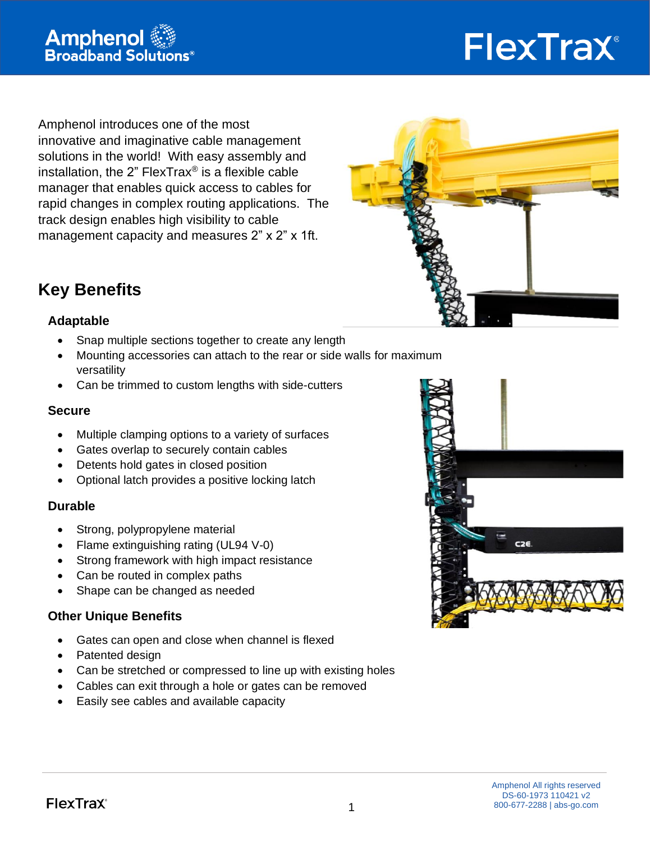

# FlexTrax®

Amphenol introduces one of the most innovative and imaginative cable management solutions in the world! With easy assembly and installation, the 2" FlexTrax<sup>®</sup> is a flexible cable manager that enables quick access to cables for rapid changes in complex routing applications. The track design enables high visibility to cable management capacity and measures 2" x 2" x 1ft.



# **Key Benefits**

### **Adaptable**

- Snap multiple sections together to create any length
- Mounting accessories can attach to the rear or side walls for maximum versatility
- Can be trimmed to custom lengths with side-cutters

### **Secure**

- Multiple clamping options to a variety of surfaces
- Gates overlap to securely contain cables
- Detents hold gates in closed position
- Optional latch provides a positive locking latch

### **Durable**

- Strong, polypropylene material
- Flame extinguishing rating (UL94 V-0)
- Strong framework with high impact resistance
- Can be routed in complex paths
- Shape can be changed as needed

### **Other Unique Benefits**

- Gates can open and close when channel is flexed
- Patented design
- Can be stretched or compressed to line up with existing holes
- Cables can exit through a hole or gates can be removed
- Easily see cables and available capacity

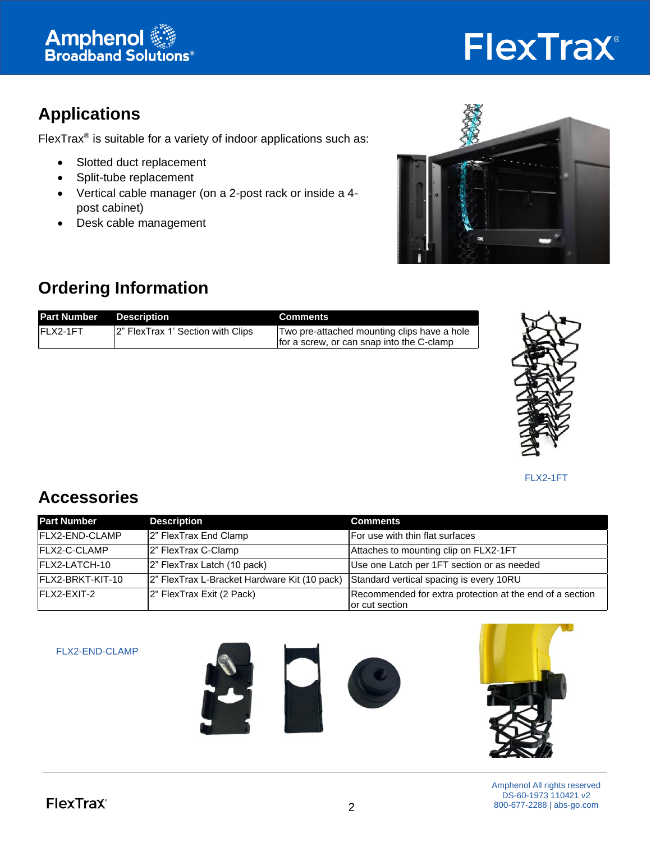

# FlexTrax®

# **Applications**

FlexTrax<sup>®</sup> is suitable for a variety of indoor applications such as:

- Slotted duct replacement
- Split-tube replacement
- Vertical cable manager (on a 2-post rack or inside a 4 post cabinet)
- Desk cable management



# **Ordering Information**

| <b>Part Number Description</b> |                                    | <b>Comments</b>                                                                          |
|--------------------------------|------------------------------------|------------------------------------------------------------------------------------------|
| IFLX2-1FT                      | 12" FlexTrax 1' Section with Clips | Two pre-attached mounting clips have a hole<br>for a screw, or can snap into the C-clamp |



FLX2-1FT

## **Accessories**

| <b>Part Number</b>     | <b>Description</b>                           | <b>Comments</b>                                                            |
|------------------------|----------------------------------------------|----------------------------------------------------------------------------|
| <b>IFLX2-END-CLAMP</b> | 2" FlexTrax End Clamp                        | For use with thin flat surfaces                                            |
| <b>IFLX2-C-CLAMP</b>   | 2" FlexTrax C-Clamp                          | Attaches to mounting clip on FLX2-1FT                                      |
| IFLX2-LATCH-10         | 2" FlexTrax Latch (10 pack)                  | Use one Latch per 1FT section or as needed                                 |
| IFLX2-BRKT-KIT-10      | 2" FlexTrax L-Bracket Hardware Kit (10 pack) | Standard vertical spacing is every 10RU                                    |
| FLX2-EXIT-2            | 2" FlexTrax Exit (2 Pack)                    | Recommended for extra protection at the end of a section<br>or cut section |

FLX2-END-CLAMP







Amphenol All rights reserved DS-60-1973 110421 v2 800-677-2288 | abs-go.com